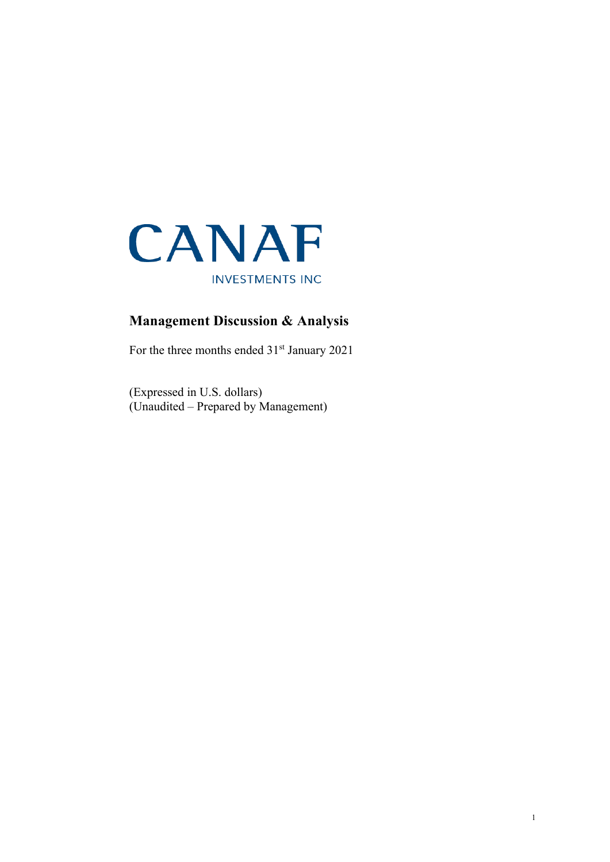

# **Management Discussion & Analysis**

For the three months ended  $31<sup>st</sup>$  January 2021

(Expressed in U.S. dollars) (Unaudited – Prepared by Management)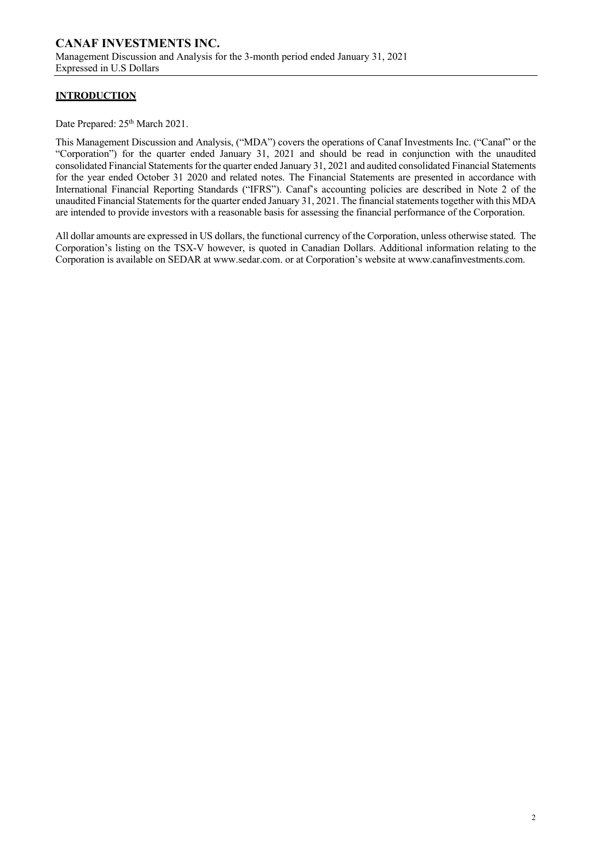## **INTRODUCTION**

Date Prepared:  $25<sup>th</sup> March 2021$ .

This Management Discussion and Analysis, ("MDA") covers the operations of Canaf Investments Inc. ("Canaf" or the "Corporation") for the quarter ended January 31, 2021 and should be read in conjunction with the unaudited consolidated Financial Statements for the quarter ended January 31, 2021 and audited consolidated Financial Statements for the year ended October 31 2020 and related notes. The Financial Statements are presented in accordance with International Financial Reporting Standards ("IFRS"). Canaf's accounting policies are described in Note 2 of the unaudited Financial Statements for the quarter ended January 31, 2021. The financial statements together with this MDA are intended to provide investors with a reasonable basis for assessing the financial performance of the Corporation.

All dollar amounts are expressed in US dollars, the functional currency of the Corporation, unless otherwise stated. The Corporation's listing on the TSX-V however, is quoted in Canadian Dollars. Additional information relating to the Corporation is available on SEDAR at www.sedar.com. or at Corporation's website at www.canafinvestments.com.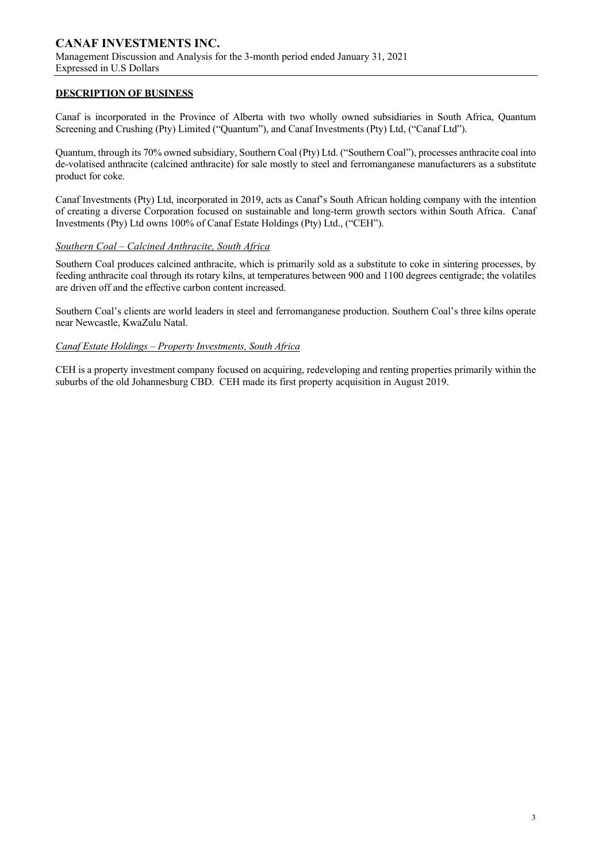## **DESCRIPTION OF BUSINESS**

Canaf is incorporated in the Province of Alberta with two wholly owned subsidiaries in South Africa, Quantum Screening and Crushing (Pty) Limited ("Quantum"), and Canaf Investments (Pty) Ltd, ("Canaf Ltd").

Quantum, through its 70% owned subsidiary, Southern Coal (Pty) Ltd. ("Southern Coal"), processes anthracite coal into de-volatised anthracite (calcined anthracite) for sale mostly to steel and ferromanganese manufacturers as a substitute product for coke.

Canaf Investments (Pty) Ltd, incorporated in 2019, acts as Canaf's South African holding company with the intention of creating a diverse Corporation focused on sustainable and long-term growth sectors within South Africa. Canaf Investments (Pty) Ltd owns 100% of Canaf Estate Holdings (Pty) Ltd., ("CEH").

### *Southern Coal – Calcined Anthracite, South Africa*

Southern Coal produces calcined anthracite, which is primarily sold as a substitute to coke in sintering processes, by feeding anthracite coal through its rotary kilns, at temperatures between 900 and 1100 degrees centigrade; the volatiles are driven off and the effective carbon content increased.

Southern Coal's clients are world leaders in steel and ferromanganese production. Southern Coal's three kilns operate near Newcastle, KwaZulu Natal.

### *Canaf Estate Holdings – Property Investments, South Africa*

CEH is a property investment company focused on acquiring, redeveloping and renting properties primarily within the suburbs of the old Johannesburg CBD. CEH made its first property acquisition in August 2019.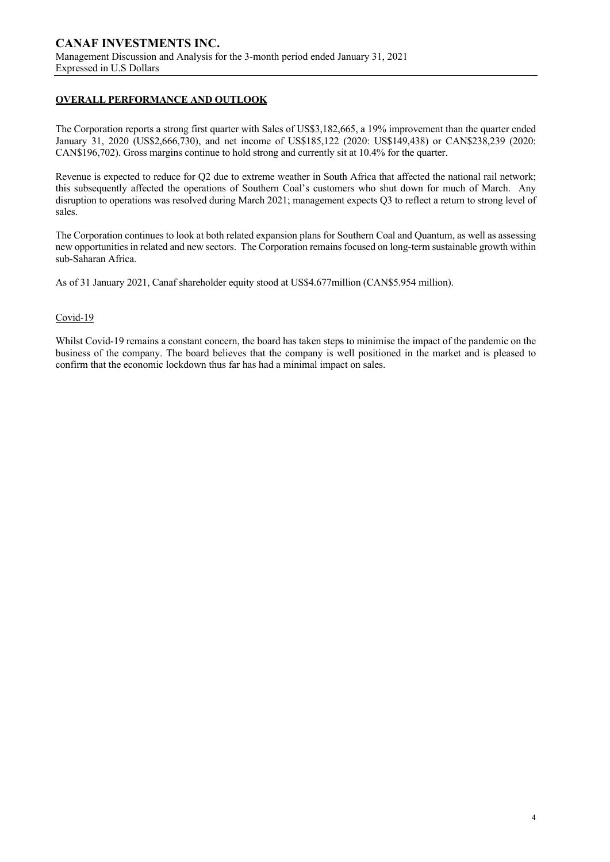## **OVERALL PERFORMANCE AND OUTLOOK**

The Corporation reports a strong first quarter with Sales of US\$3,182,665, a 19% improvement than the quarter ended January 31, 2020 (US\$2,666,730), and net income of US\$185,122 (2020: US\$149,438) or CAN\$238,239 (2020: CAN\$196,702). Gross margins continue to hold strong and currently sit at 10.4% for the quarter.

Revenue is expected to reduce for Q2 due to extreme weather in South Africa that affected the national rail network; this subsequently affected the operations of Southern Coal's customers who shut down for much of March. Any disruption to operations was resolved during March 2021; management expects Q3 to reflect a return to strong level of sales.

The Corporation continues to look at both related expansion plans for Southern Coal and Quantum, as well as assessing new opportunities in related and new sectors. The Corporation remains focused on long-term sustainable growth within sub-Saharan Africa.

As of 31 January 2021, Canaf shareholder equity stood at US\$4.677million (CAN\$5.954 million).

### Covid-19

Whilst Covid-19 remains a constant concern, the board has taken steps to minimise the impact of the pandemic on the business of the company. The board believes that the company is well positioned in the market and is pleased to confirm that the economic lockdown thus far has had a minimal impact on sales.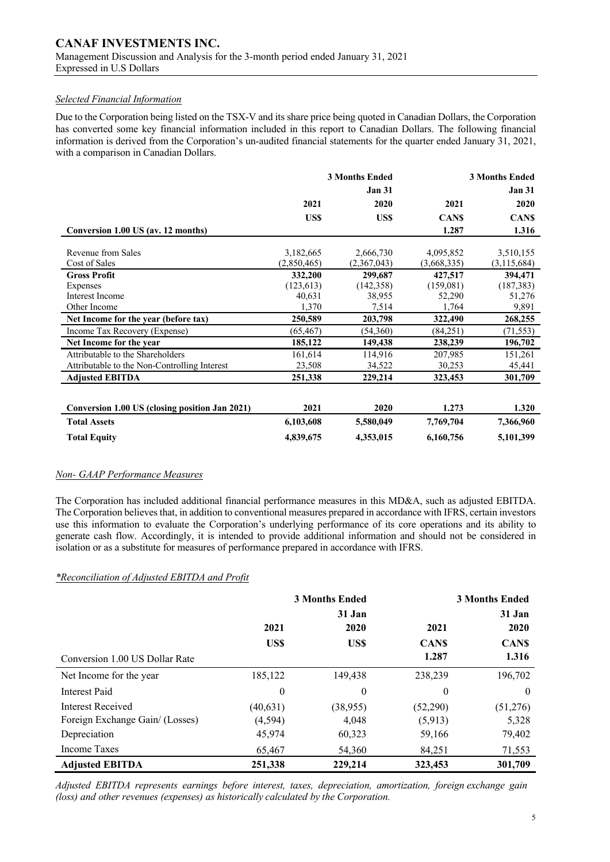### *Selected Financial Information*

Due to the Corporation being listed on the TSX-V and its share price being quoted in Canadian Dollars, the Corporation has converted some key financial information included in this report to Canadian Dollars. The following financial information is derived from the Corporation's un-audited financial statements for the quarter ended January 31, 2021, with a comparison in Canadian Dollars.

|                                                |             | <b>3 Months Ended</b> | <b>3 Months Ended</b> |               |
|------------------------------------------------|-------------|-----------------------|-----------------------|---------------|
|                                                |             | <b>Jan 31</b>         |                       | <b>Jan 31</b> |
|                                                | 2021        | 2020                  | 2021                  | 2020          |
|                                                | US\$        | <b>USS</b>            | <b>CANS</b>           | <b>CANS</b>   |
| Conversion 1.00 US (av. 12 months)             |             |                       | 1.287                 | 1.316         |
|                                                |             |                       |                       |               |
| Revenue from Sales                             | 3,182,665   | 2,666,730             | 4,095,852             | 3,510,155     |
| Cost of Sales                                  | (2,850,465) | (2,367,043)           | (3,668,335)           | (3,115,684)   |
| <b>Gross Profit</b>                            | 332,200     | 299,687               | 427,517               | 394,471       |
| Expenses                                       | (123, 613)  | (142, 358)            | (159,081)             | (187, 383)    |
| Interest Income                                | 40,631      | 38,955                | 52,290                | 51,276        |
| Other Income                                   | 1,370       | 7,514                 | 1,764                 | 9,891         |
| Net Income for the year (before tax)           | 250,589     | 203,798               | 322,490               | 268,255       |
| Income Tax Recovery (Expense)                  | (65, 467)   | (54,360)              | (84,251)              | (71, 553)     |
| Net Income for the year                        | 185,122     | 149,438               | 238,239               | 196,702       |
| Attributable to the Shareholders               | 161,614     | 114,916               | 207,985               | 151,261       |
| Attributable to the Non-Controlling Interest   | 23,508      | 34,522                | 30,253                | 45,441        |
| <b>Adjusted EBITDA</b>                         | 251,338     | 229,214               | 323,453               | 301,709       |
|                                                |             |                       |                       |               |
| Conversion 1.00 US (closing position Jan 2021) | 2021        | 2020                  | 1.273                 | 1.320         |
| <b>Total Assets</b>                            | 6,103,608   | 5,580,049             | 7,769,704             | 7,366,960     |
| <b>Total Equity</b>                            | 4,839,675   | 4,353,015             | 6,160,756             | 5,101,399     |

### *Non- GAAP Performance Measures*

The Corporation has included additional financial performance measures in this MD&A, such as adjusted EBITDA. The Corporation believes that, in addition to conventional measures prepared in accordance with IFRS, certain investors use this information to evaluate the Corporation's underlying performance of its core operations and its ability to generate cash flow. Accordingly, it is intended to provide additional information and should not be considered in isolation or as a substitute for measures of performance prepared in accordance with IFRS.

## *\*Reconciliation of Adjusted EBITDA and Profit*

|                                 | <b>3 Months Ended</b> |              |             | <b>3 Months Ended</b> |
|---------------------------------|-----------------------|--------------|-------------|-----------------------|
|                                 |                       | 31 Jan       |             | 31 Jan                |
|                                 | 2021                  | 2020         | 2021        | 2020                  |
|                                 | US\$                  | US\$         | <b>CANS</b> | <b>CANS</b>           |
| Conversion 1.00 US Dollar Rate  |                       |              | 1.287       | 1.316                 |
| Net Income for the year         | 185,122               | 149,438      | 238,239     | 196,702               |
| Interest Paid                   | 0                     | $\mathbf{0}$ | $\theta$    | $\theta$              |
| Interest Received               | (40, 631)             | (38, 955)    | (52,290)    | (51,276)              |
| Foreign Exchange Gain/ (Losses) | (4, 594)              | 4,048        | (5,913)     | 5,328                 |
| Depreciation                    | 45,974                | 60,323       | 59,166      | 79,402                |
| Income Taxes                    | 65,467                | 54,360       | 84,251      | 71,553                |
| <b>Adjusted EBITDA</b>          | 251,338               | 229,214      | 323,453     | 301,709               |

*Adjusted EBITDA represents earnings before interest, taxes, depreciation, amortization, foreign exchange gain (loss) and other revenues (expenses) as historically calculated by the Corporation.*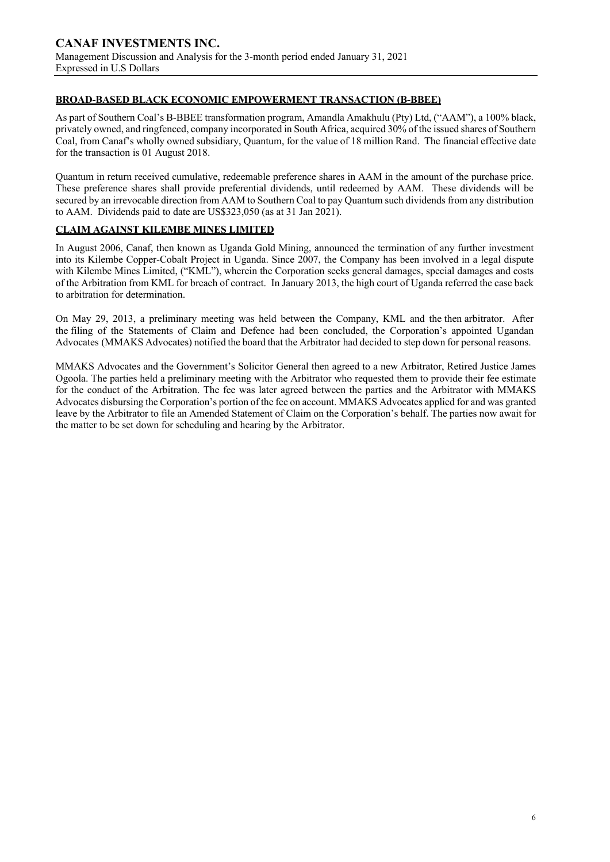## **BROAD-BASED BLACK ECONOMIC EMPOWERMENT TRANSACTION (B-BBEE)**

As part of Southern Coal's B-BBEE transformation program, Amandla Amakhulu (Pty) Ltd, ("AAM"), a 100% black, privately owned, and ringfenced, company incorporated in South Africa, acquired 30% of the issued shares of Southern Coal, from Canaf's wholly owned subsidiary, Quantum, for the value of 18 million Rand. The financial effective date for the transaction is 01 August 2018.

Quantum in return received cumulative, redeemable preference shares in AAM in the amount of the purchase price. These preference shares shall provide preferential dividends, until redeemed by AAM. These dividends will be secured by an irrevocable direction from AAM to Southern Coal to pay Quantum such dividends from any distribution to AAM. Dividends paid to date are US\$323,050 (as at 31 Jan 2021).

## **CLAIM AGAINST KILEMBE MINES LIMITED**

In August 2006, Canaf, then known as Uganda Gold Mining, announced the termination of any further investment into its Kilembe Copper-Cobalt Project in Uganda. Since 2007, the Company has been involved in a legal dispute with Kilembe Mines Limited, ("KML"), wherein the Corporation seeks general damages, special damages and costs of the Arbitration from KML for breach of contract. In January 2013, the high court of Uganda referred the case back to arbitration for determination.

On May 29, 2013, a preliminary meeting was held between the Company, KML and the then arbitrator. After the filing of the Statements of Claim and Defence had been concluded, the Corporation's appointed Ugandan Advocates (MMAKS Advocates) notified the board that the Arbitrator had decided to step down for personal reasons.

MMAKS Advocates and the Government's Solicitor General then agreed to a new Arbitrator, Retired Justice James Ogoola. The parties held a preliminary meeting with the Arbitrator who requested them to provide their fee estimate for the conduct of the Arbitration. The fee was later agreed between the parties and the Arbitrator with MMAKS Advocates disbursing the Corporation's portion of the fee on account. MMAKS Advocates applied for and was granted leave by the Arbitrator to file an Amended Statement of Claim on the Corporation's behalf. The parties now await for the matter to be set down for scheduling and hearing by the Arbitrator.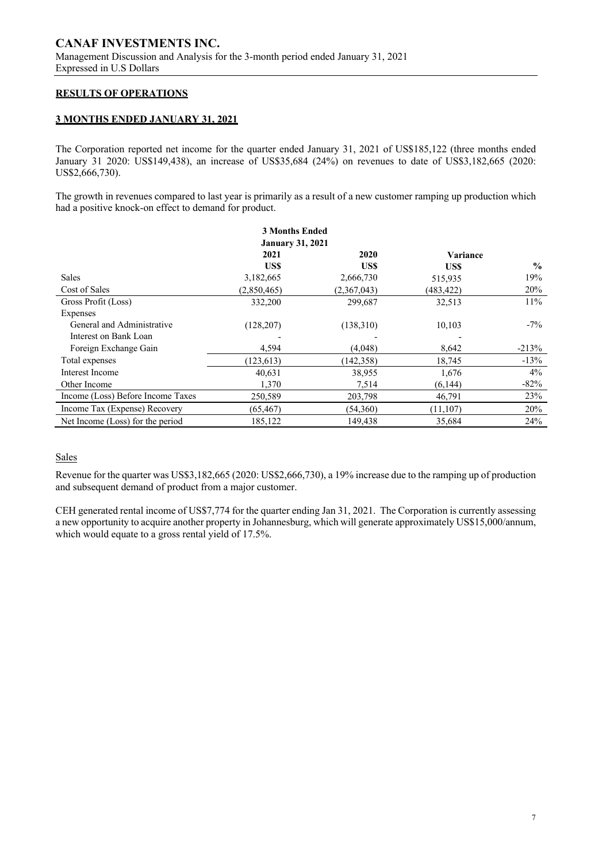### **RESULTS OF OPERATIONS**

### **3 MONTHS ENDED JANUARY 31, 2021**

The Corporation reported net income for the quarter ended January 31, 2021 of US\$185,122 (three months ended January 31 2020: US\$149,438), an increase of US\$35,684 (24%) on revenues to date of US\$3,182,665 (2020: US\$2,666,730).

The growth in revenues compared to last year is primarily as a result of a new customer ramping up production which had a positive knock-on effect to demand for product.

|                                   | <b>3 Months Ended</b>   |             |            |               |
|-----------------------------------|-------------------------|-------------|------------|---------------|
|                                   | <b>January 31, 2021</b> |             |            |               |
|                                   | 2021                    | 2020        | Variance   |               |
|                                   | US\$                    | US\$        | US\$       | $\frac{0}{0}$ |
| Sales                             | 3,182,665               | 2,666,730   | 515,935    | 19%           |
| Cost of Sales                     | (2,850,465)             | (2,367,043) | (483, 422) | 20%           |
| Gross Profit (Loss)               | 332,200                 | 299,687     | 32,513     | 11%           |
| Expenses                          |                         |             |            |               |
| General and Administrative        | (128, 207)              | (138,310)   | 10,103     | $-7\%$        |
| Interest on Bank Loan             |                         |             |            |               |
| Foreign Exchange Gain             | 4,594                   | (4,048)     | 8,642      | $-213%$       |
| Total expenses                    | (123, 613)              | (142, 358)  | 18,745     | $-13%$        |
| Interest Income                   | 40,631                  | 38,955      | 1,676      | 4%            |
| Other Income                      | 1,370                   | 7,514       | (6, 144)   | $-82%$        |
| Income (Loss) Before Income Taxes | 250,589                 | 203,798     | 46,791     | 23%           |
| Income Tax (Expense) Recovery     | (65, 467)               | (54,360)    | (11, 107)  | 20%           |
| Net Income (Loss) for the period  | 185,122                 | 149,438     | 35,684     | 24%           |

## Sales

Revenue for the quarter was US\$3,182,665 (2020: US\$2,666,730), a 19% increase due to the ramping up of production and subsequent demand of product from a major customer.

CEH generated rental income of US\$7,774 for the quarter ending Jan 31, 2021. The Corporation is currently assessing a new opportunity to acquire another property in Johannesburg, which will generate approximately US\$15,000/annum, which would equate to a gross rental yield of 17.5%.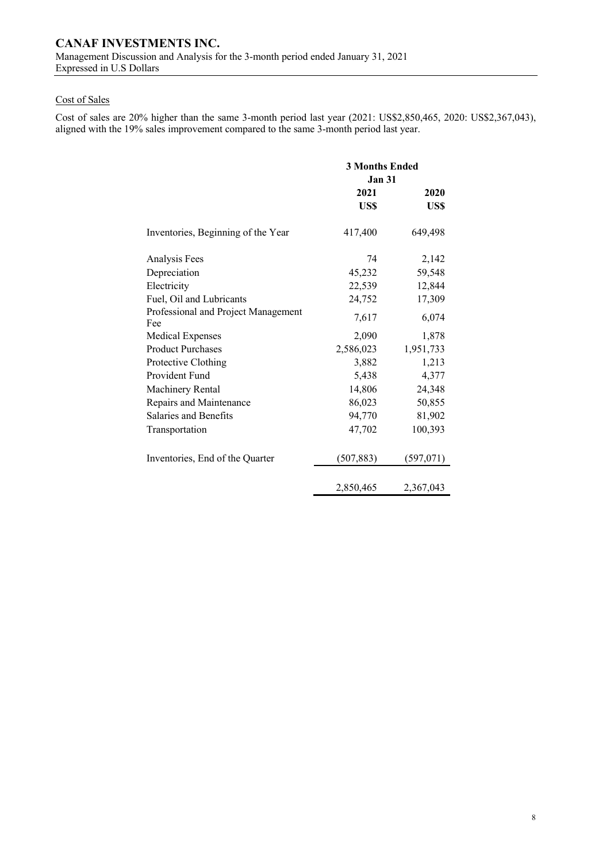## Cost of Sales

Cost of sales are 20% higher than the same 3-month period last year (2021: US\$2,850,465, 2020: US\$2,367,043), aligned with the 19% sales improvement compared to the same 3-month period last year.

|                                            | <b>3 Months Ended</b><br><b>Jan 31</b> |           |  |
|--------------------------------------------|----------------------------------------|-----------|--|
|                                            | 2021                                   | 2020      |  |
|                                            | US\$                                   | US\$      |  |
| Inventories, Beginning of the Year         | 417,400                                | 649,498   |  |
| Analysis Fees                              | 74                                     | 2,142     |  |
| Depreciation                               | 45,232                                 | 59,548    |  |
| Electricity                                | 22,539                                 | 12,844    |  |
| Fuel, Oil and Lubricants                   | 24,752                                 | 17,309    |  |
| Professional and Project Management<br>Fee | 7,617                                  | 6,074     |  |
| <b>Medical Expenses</b>                    | 2,090                                  | 1,878     |  |
| <b>Product Purchases</b>                   | 2,586,023                              | 1,951,733 |  |
| Protective Clothing                        | 3,882                                  | 1,213     |  |
| Provident Fund                             | 5,438                                  | 4,377     |  |
| Machinery Rental                           | 14,806                                 | 24,348    |  |
| Repairs and Maintenance                    | 86,023                                 | 50,855    |  |
| Salaries and Benefits                      | 94,770                                 | 81,902    |  |
| Transportation                             | 47,702                                 | 100,393   |  |
| Inventories, End of the Quarter            | (507, 883)                             | (597,071) |  |
|                                            | 2,850,465                              | 2,367,043 |  |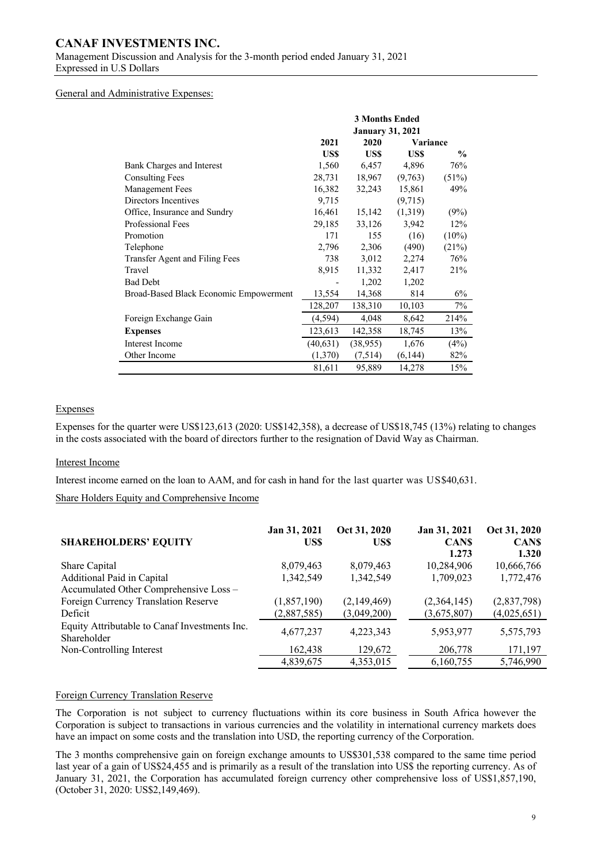# **CANAF INVESTMENTS INC.**

Management Discussion and Analysis for the 3-month period ended January 31, 2021 Expressed in U.S Dollars

#### General and Administrative Expenses:

|                                        |          | <b>3 Months Ended</b>   |          |               |
|----------------------------------------|----------|-------------------------|----------|---------------|
|                                        |          | <b>January 31, 2021</b> |          |               |
|                                        | 2021     | 2020                    | Variance |               |
|                                        | US\$     | US\$                    | US\$     | $\frac{0}{0}$ |
| Bank Charges and Interest              | 1,560    | 6,457                   | 4,896    | 76%           |
| <b>Consulting Fees</b>                 | 28,731   | 18,967                  | (9,763)  | (51%)         |
| Management Fees                        | 16,382   | 32,243                  | 15,861   | 49%           |
| Directors Incentives                   | 9,715    |                         | (9,715)  |               |
| Office, Insurance and Sundry           | 16,461   | 15,142                  | (1,319)  | (9%)          |
| Professional Fees                      | 29,185   | 33,126                  | 3,942    | 12%           |
| Promotion                              | 171      | 155                     | (16)     | $(10\%)$      |
| Telephone                              | 2,796    | 2,306                   | (490)    | (21%)         |
| Transfer Agent and Filing Fees         | 738      | 3,012                   | 2,274    | 76%           |
| Travel                                 | 8,915    | 11,332                  | 2,417    | 21%           |
| <b>Bad Debt</b>                        |          | 1,202                   | 1,202    |               |
| Broad-Based Black Economic Empowerment | 13,554   | 14,368                  | 814      | 6%            |
|                                        | 128,207  | 138,310                 | 10,103   | 7%            |
| Foreign Exchange Gain                  | (4, 594) | 4,048                   | 8,642    | 214%          |
| <b>Expenses</b>                        | 123,613  | 142,358                 | 18,745   | 13%           |
| Interest Income                        | (40,631) | (38,955)                | 1,676    | (4%)          |
| Other Income                           | (1,370)  | (7,514)                 | (6,144)  | 82%           |
|                                        | 81,611   | 95,889                  | 14,278   | 15%           |

### Expenses

Expenses for the quarter were US\$123,613 (2020: US\$142,358), a decrease of US\$18,745 (13%) relating to changes in the costs associated with the board of directors further to the resignation of David Way as Chairman.

#### Interest Income

Interest income earned on the loan to AAM, and for cash in hand for the last quarter was US\$40,631.

Share Holders Equity and Comprehensive Income

| <b>SHAREHOLDERS' EQUITY</b>                                  | Jan 31, 2021<br>US\$ | Oct 31, 2020<br>US\$ | Jan 31, 2021<br><b>CANS</b><br>1.273 | Oct 31, 2020<br><b>CANS</b><br>1.320 |
|--------------------------------------------------------------|----------------------|----------------------|--------------------------------------|--------------------------------------|
| Share Capital                                                | 8,079,463            | 8,079,463            | 10,284,906                           | 10,666,766                           |
| Additional Paid in Capital                                   | 1.342.549            | 1,342,549            | 1,709,023                            | 1,772,476                            |
| Accumulated Other Comprehensive Loss -                       |                      |                      |                                      |                                      |
| Foreign Currency Translation Reserve                         | (1,857,190)          | (2,149,469)          | (2,364,145)                          | (2,837,798)                          |
| Deficit                                                      | (2,887,585)          | (3,049,200)          | (3,675,807)                          | (4,025,651)                          |
| Equity Attributable to Canaf Investments Inc.<br>Shareholder | 4,677,237            | 4,223,343            | 5,953,977                            | 5,575,793                            |
| Non-Controlling Interest                                     | 162,438              | 129,672              | 206,778                              | 171,197                              |
|                                                              | 4,839,675            | 4,353,015            | 6,160,755                            | 5,746,990                            |

### Foreign Currency Translation Reserve

The Corporation is not subject to currency fluctuations within its core business in South Africa however the Corporation is subject to transactions in various currencies and the volatility in international currency markets does have an impact on some costs and the translation into USD, the reporting currency of the Corporation.

The 3 months comprehensive gain on foreign exchange amounts to US\$301,538 compared to the same time period last year of a gain of US\$24,455 and is primarily as a result of the translation into US\$ the reporting currency. As of January 31, 2021, the Corporation has accumulated foreign currency other comprehensive loss of US\$1,857,190, (October 31, 2020: US\$2,149,469).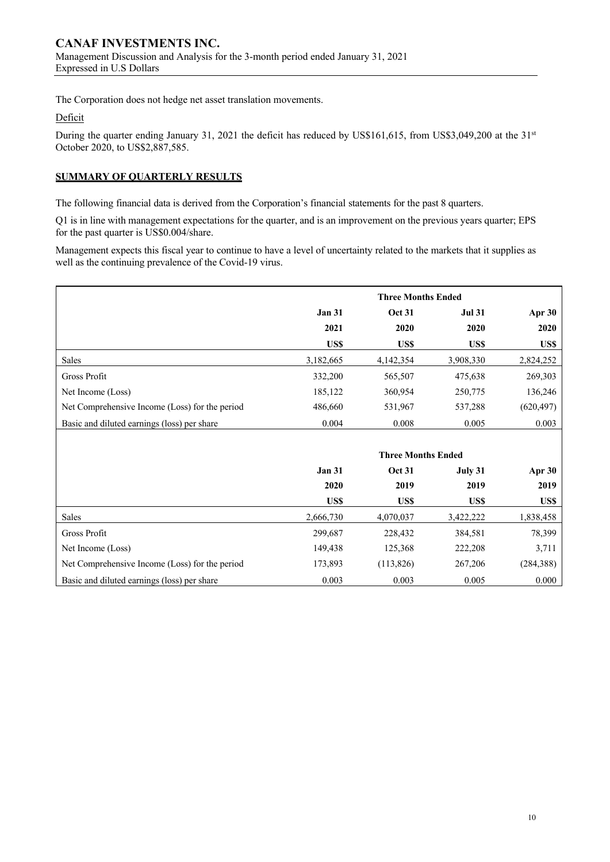The Corporation does not hedge net asset translation movements.

## Deficit

During the quarter ending January 31, 2021 the deficit has reduced by US\$161,615, from US\$3,049,200 at the 31<sup>st</sup> October 2020, to US\$2,887,585.

## **SUMMARY OF QUARTERLY RESULTS**

The following financial data is derived from the Corporation's financial statements for the past 8 quarters.

Q1 is in line with management expectations for the quarter, and is an improvement on the previous years quarter; EPS for the past quarter is US\$0.004/share.

Management expects this fiscal year to continue to have a level of uncertainty related to the markets that it supplies as well as the continuing prevalence of the Covid-19 virus.

|                                                |               | <b>Three Months Ended</b> |               |            |
|------------------------------------------------|---------------|---------------------------|---------------|------------|
|                                                | <b>Jan 31</b> | <b>Oct 31</b>             | <b>Jul 31</b> | Apr 30     |
|                                                | 2021          | 2020                      | 2020          | 2020       |
|                                                | US\$          | US\$                      | US\$          | US\$       |
| Sales                                          | 3,182,665     | 4,142,354                 | 3,908,330     | 2,824,252  |
| Gross Profit                                   | 332,200       | 565,507                   | 475,638       | 269,303    |
| Net Income (Loss)                              | 185,122       | 360,954                   | 250,775       | 136,246    |
| Net Comprehensive Income (Loss) for the period | 486,660       | 531,967                   | 537,288       | (620, 497) |
| Basic and diluted earnings (loss) per share    | 0.004         | 0.008                     | 0.005         | 0.003      |
|                                                |               |                           |               |            |
|                                                |               | <b>Three Months Ended</b> |               |            |
|                                                | <b>Jan 31</b> | <b>Oct 31</b>             | July 31       | Apr $30$   |
|                                                | 2020          | 2019                      | 2019          | 2019       |
|                                                | US\$          | US\$                      | US\$          | US\$       |
| Sales                                          | 2,666,730     | 4,070,037                 | 3,422,222     | 1,838,458  |
| Gross Profit                                   | 299,687       | 228,432                   | 384,581       | 78,399     |
| Net Income (Loss)                              | 149,438       | 125,368                   | 222,208       | 3,711      |
| Net Comprehensive Income (Loss) for the period | 173,893       | (113, 826)                | 267,206       | (284, 388) |
| Basic and diluted earnings (loss) per share    | 0.003         | 0.003                     | 0.005         | 0.000      |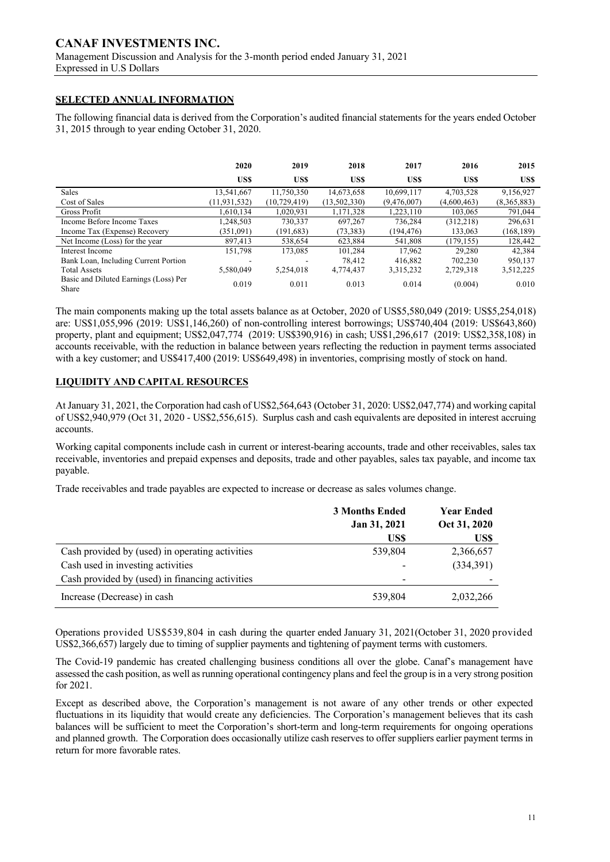## **SELECTED ANNUAL INFORMATION**

The following financial data is derived from the Corporation's audited financial statements for the years ended October 31, 2015 through to year ending October 31, 2020.

|                                                | 2020           | 2019           | 2018         | 2017        | 2016        | 2015        |
|------------------------------------------------|----------------|----------------|--------------|-------------|-------------|-------------|
|                                                | US\$           | US\$           | US\$         | US\$        | US\$        | US\$        |
| Sales                                          | 13.541.667     | 11,750,350     | 14,673,658   | 10,699,117  | 4,703,528   | 9,156,927   |
| Cost of Sales                                  | (11, 931, 532) | (10, 729, 419) | (13,502,330) | (9,476,007) | (4,600,463) | (8,365,883) |
| <b>Gross Profit</b>                            | 1.610.134      | 1,020,931      | 1,171,328    | 1,223,110   | 103,065     | 791,044     |
| Income Before Income Taxes                     | 1,248,503      | 730,337        | 697,267      | 736,284     | (312, 218)  | 296,631     |
| Income Tax (Expense) Recovery                  | (351,091)      | (191, 683)     | (73, 383)    | (194, 476)  | 133,063     | (168, 189)  |
| Net Income (Loss) for the year                 | 897.413        | 538,654        | 623.884      | 541,808     | (179.155)   | 128,442     |
| Interest Income                                | 151,798        | 173,085        | 101,284      | 17.962      | 29,280      | 42,384      |
| Bank Loan, Including Current Portion           |                |                | 78.412       | 416,882     | 702,230     | 950,137     |
| <b>Total Assets</b>                            | 5.580.049      | 5.254,018      | 4,774,437    | 3.315.232   | 2.729.318   | 3,512,225   |
| Basic and Diluted Earnings (Loss) Per<br>Share | 0.019          | 0.011          | 0.013        | 0.014       | (0.004)     | 0.010       |

The main components making up the total assets balance as at October, 2020 of US\$5,580,049 (2019: US\$5,254,018) are: US\$1,055,996 (2019: US\$1,146,260) of non-controlling interest borrowings; US\$740,404 (2019: US\$643,860) property, plant and equipment; US\$2,047,774 (2019: US\$390,916) in cash; US\$1,296,617 (2019: US\$2,358,108) in accounts receivable, with the reduction in balance between years reflecting the reduction in payment terms associated with a key customer; and US\$417,400 (2019: US\$649,498) in inventories, comprising mostly of stock on hand.

## **LIQUIDITY AND CAPITAL RESOURCES**

At January 31, 2021, the Corporation had cash of US\$2,564,643 (October 31, 2020: US\$2,047,774) and working capital of US\$2,940,979 (Oct 31, 2020 - US\$2,556,615). Surplus cash and cash equivalents are deposited in interest accruing accounts.

Working capital components include cash in current or interest-bearing accounts, trade and other receivables, sales tax receivable, inventories and prepaid expenses and deposits, trade and other payables, sales tax payable, and income tax payable.

Trade receivables and trade payables are expected to increase or decrease as sales volumes change.

|                                                 | <b>3 Months Ended</b> | <b>Year Ended</b> |
|-------------------------------------------------|-----------------------|-------------------|
|                                                 | Jan 31, 2021          | Oct 31, 2020      |
|                                                 | US\$                  | US\$              |
| Cash provided by (used) in operating activities | 539,804               | 2,366,657         |
| Cash used in investing activities               |                       | (334,391)         |
| Cash provided by (used) in financing activities |                       |                   |
| Increase (Decrease) in cash                     | 539,804               | 2,032,266         |

Operations provided US\$539,804 in cash during the quarter ended January 31, 2021(October 31, 2020 provided US\$2,366,657) largely due to timing of supplier payments and tightening of payment terms with customers.

The Covid-19 pandemic has created challenging business conditions all over the globe. Canaf's management have assessed the cash position, as well as running operational contingency plans and feel the group is in a very strong position for 2021.

Except as described above, the Corporation's management is not aware of any other trends or other expected fluctuations in its liquidity that would create any deficiencies. The Corporation's management believes that its cash balances will be sufficient to meet the Corporation's short-term and long-term requirements for ongoing operations and planned growth. The Corporation does occasionally utilize cash reserves to offer suppliers earlier payment terms in return for more favorable rates.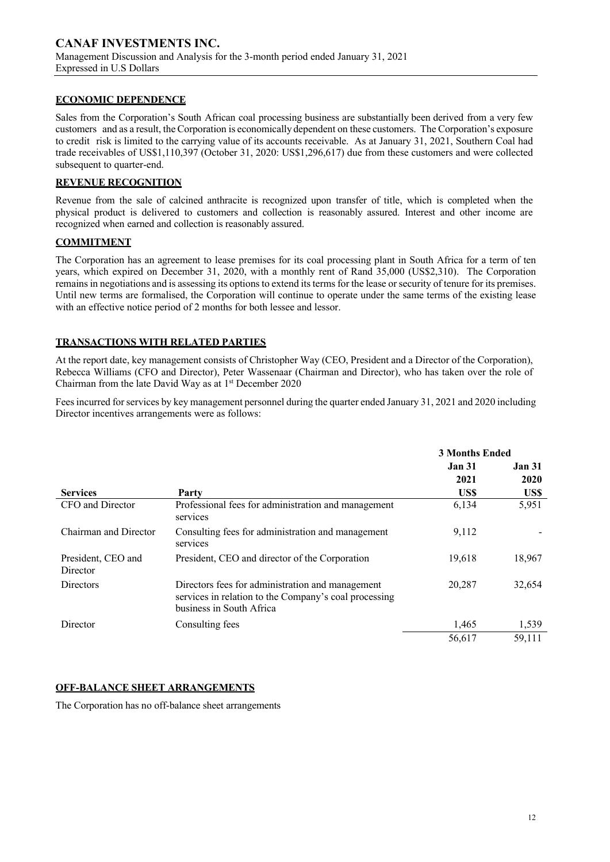## **ECONOMIC DEPENDENCE**

Sales from the Corporation's South African coal processing business are substantially been derived from a very few customers and as a result, the Corporation is economically dependent on these customers. The Corporation's exposure to credit risk is limited to the carrying value of its accounts receivable. As at January 31, 2021, Southern Coal had trade receivables of US\$1,110,397 (October 31, 2020: US\$1,296,617) due from these customers and were collected subsequent to quarter-end.

## **REVENUE RECOGNITION**

Revenue from the sale of calcined anthracite is recognized upon transfer of title, which is completed when the physical product is delivered to customers and collection is reasonably assured. Interest and other income are recognized when earned and collection is reasonably assured.

## **COMMITMENT**

The Corporation has an agreement to lease premises for its coal processing plant in South Africa for a term of ten years, which expired on December 31, 2020, with a monthly rent of Rand 35,000 (US\$2,310). The Corporation remains in negotiations and is assessing its options to extend its terms for the lease or security of tenure for its premises. Until new terms are formalised, the Corporation will continue to operate under the same terms of the existing lease with an effective notice period of 2 months for both lessee and lessor.

## **TRANSACTIONS WITH RELATED PARTIES**

At the report date, key management consists of Christopher Way (CEO, President and a Director of the Corporation), Rebecca Williams (CFO and Director), Peter Wassenaar (Chairman and Director), who has taken over the role of Chairman from the late David Way as at  $1<sup>st</sup>$  December 2020

Fees incurred for services by key management personnel during the quarter ended January 31, 2021 and 2020 including Director incentives arrangements were as follows:

|                                |                                                                                                                                       | <b>3 Months Ended</b> |                       |
|--------------------------------|---------------------------------------------------------------------------------------------------------------------------------------|-----------------------|-----------------------|
|                                |                                                                                                                                       | <b>Jan 31</b><br>2021 | <b>Jan 31</b><br>2020 |
| <b>Services</b>                | Party                                                                                                                                 | US\$                  | US\$                  |
| CFO and Director               | Professional fees for administration and management<br>services                                                                       | 6,134                 | 5,951                 |
| Chairman and Director          | Consulting fees for administration and management<br>services                                                                         | 9,112                 |                       |
| President, CEO and<br>Director | President, CEO and director of the Corporation                                                                                        | 19,618                | 18,967                |
| <b>Directors</b>               | Directors fees for administration and management<br>services in relation to the Company's coal processing<br>business in South Africa | 20,287                | 32,654                |
| Director                       | Consulting fees                                                                                                                       | 1,465                 | 1,539                 |
|                                |                                                                                                                                       | 56,617                | 59,111                |

## **OFF-BALANCE SHEET ARRANGEMENTS**

The Corporation has no off-balance sheet arrangements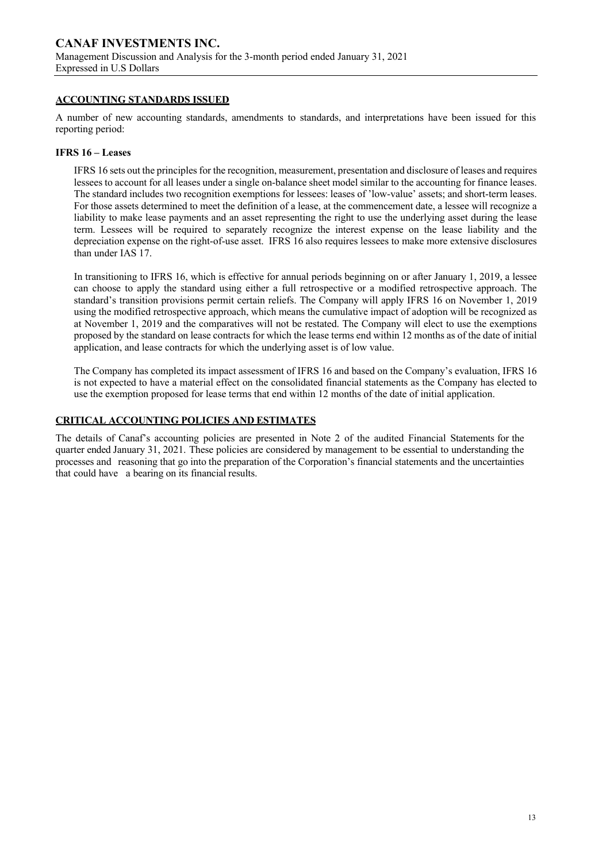## **ACCOUNTING STANDARDS ISSUED**

A number of new accounting standards, amendments to standards, and interpretations have been issued for this reporting period:

#### **IFRS 16 – Leases**

IFRS 16 sets out the principles for the recognition, measurement, presentation and disclosure of leases and requires lessees to account for all leases under a single on-balance sheet model similar to the accounting for finance leases. The standard includes two recognition exemptions for lessees: leases of 'low-value' assets; and short-term leases. For those assets determined to meet the definition of a lease, at the commencement date, a lessee will recognize a liability to make lease payments and an asset representing the right to use the underlying asset during the lease term. Lessees will be required to separately recognize the interest expense on the lease liability and the depreciation expense on the right-of-use asset. IFRS 16 also requires lessees to make more extensive disclosures than under IAS 17.

In transitioning to IFRS 16, which is effective for annual periods beginning on or after January 1, 2019, a lessee can choose to apply the standard using either a full retrospective or a modified retrospective approach. The standard's transition provisions permit certain reliefs. The Company will apply IFRS 16 on November 1, 2019 using the modified retrospective approach, which means the cumulative impact of adoption will be recognized as at November 1, 2019 and the comparatives will not be restated. The Company will elect to use the exemptions proposed by the standard on lease contracts for which the lease terms end within 12 months as of the date of initial application, and lease contracts for which the underlying asset is of low value.

The Company has completed its impact assessment of IFRS 16 and based on the Company's evaluation, IFRS 16 is not expected to have a material effect on the consolidated financial statements as the Company has elected to use the exemption proposed for lease terms that end within 12 months of the date of initial application.

### **CRITICAL ACCOUNTING POLICIES AND ESTIMATES**

The details of Canaf's accounting policies are presented in Note 2 of the audited Financial Statements for the quarter ended January 31, 2021. These policies are considered by management to be essential to understanding the processes and reasoning that go into the preparation of the Corporation's financial statements and the uncertainties that could have a bearing on its financial results.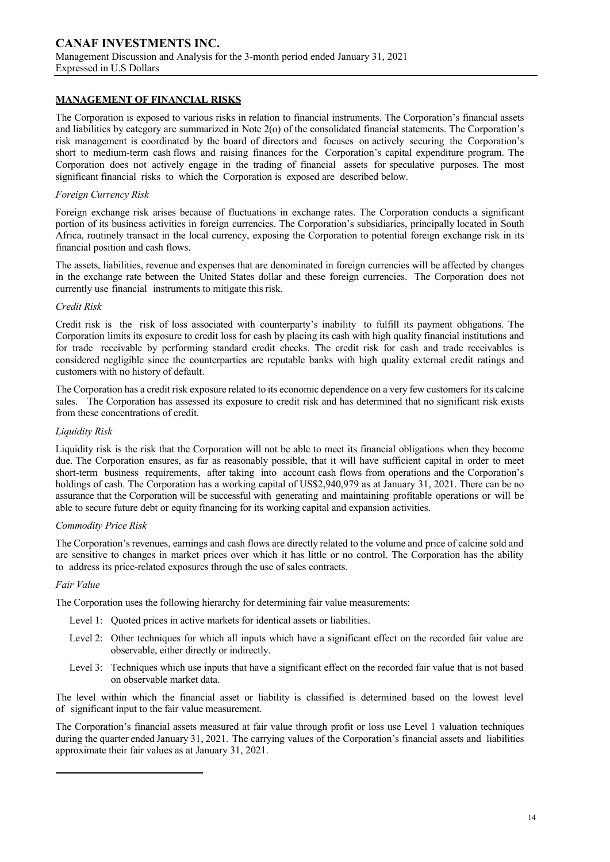## **MANAGEMENT OF FINANCIAL RISKS**

The Corporation is exposed to various risks in relation to financial instruments. The Corporation's financial assets and liabilities by category are summarized in Note 2(o) of the consolidated financial statements. The Corporation's risk management is coordinated by the board of directors and focuses on actively securing the Corporation's short to medium-term cash flows and raising finances for the Corporation's capital expenditure program. The Corporation does not actively engage in the trading of financial assets for speculative purposes. The most significant financial risks to which the Corporation is exposed are described below.

### *Foreign Currency Risk*

Foreign exchange risk arises because of fluctuations in exchange rates. The Corporation conducts a significant portion of its business activities in foreign currencies. The Corporation's subsidiaries, principally located in South Africa, routinely transact in the local currency, exposing the Corporation to potential foreign exchange risk in its financial position and cash flows.

The assets, liabilities, revenue and expenses that are denominated in foreign currencies will be affected by changes in the exchange rate between the United States dollar and these foreign currencies. The Corporation does not currently use financial instruments to mitigate this risk.

#### *Credit Risk*

Credit risk is the risk of loss associated with counterparty's inability to fulfill its payment obligations. The Corporation limits its exposure to credit loss for cash by placing its cash with high quality financial institutions and for trade receivable by performing standard credit checks. The credit risk for cash and trade receivables is considered negligible since the counterparties are reputable banks with high quality external credit ratings and customers with no history of default.

The Corporation has a credit risk exposure related to its economic dependence on a very few customersfor its calcine sales. The Corporation has assessed its exposure to credit risk and has determined that no significant risk exists from these concentrations of credit.

#### *Liquidity Risk*

Liquidity risk is the risk that the Corporation will not be able to meet its financial obligations when they become due. The Corporation ensures, as far as reasonably possible, that it will have sufficient capital in order to meet short-term business requirements, after taking into account cash flows from operations and the Corporation's holdings of cash. The Corporation has a working capital of US\$2,940,979 as at January 31, 2021. There can be no assurance that the Corporation will be successful with generating and maintaining profitable operations or will be able to secure future debt or equity financing for its working capital and expansion activities.

#### *Commodity Price Risk*

The Corporation's revenues, earnings and cash flows are directly related to the volume and price of calcine sold and are sensitive to changes in market prices over which it has little or no control. The Corporation has the ability to address its price-related exposures through the use of sales contracts.

#### *Fair Value*

The Corporation uses the following hierarchy for determining fair value measurements:

- Level 1: Quoted prices in active markets for identical assets or liabilities.
- Level 2: Other techniques for which all inputs which have a significant effect on the recorded fair value are observable, either directly or indirectly.
- Level 3: Techniques which use inputs that have a significant effect on the recorded fair value that is not based on observable market data.

The level within which the financial asset or liability is classified is determined based on the lowest level of significant input to the fair value measurement.

The Corporation's financial assets measured at fair value through profit or loss use Level 1 valuation techniques during the quarter ended January 31, 2021. The carrying values of the Corporation's financial assets and liabilities approximate their fair values as at January 31, 2021.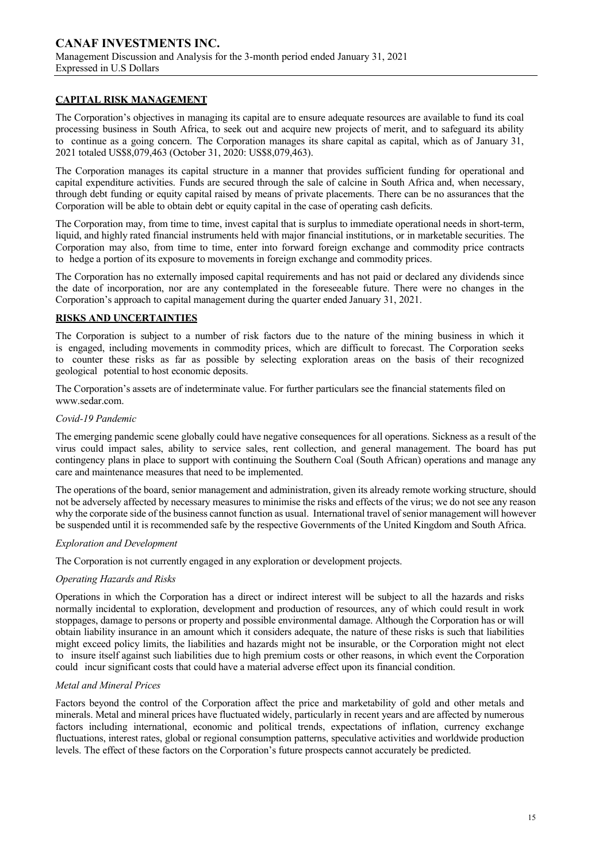## **CAPITAL RISK MANAGEMENT**

The Corporation's objectives in managing its capital are to ensure adequate resources are available to fund its coal processing business in South Africa, to seek out and acquire new projects of merit, and to safeguard its ability to continue as a going concern. The Corporation manages its share capital as capital, which as of January 31, 2021 totaled US\$8,079,463 (October 31, 2020: US\$8,079,463).

The Corporation manages its capital structure in a manner that provides sufficient funding for operational and capital expenditure activities. Funds are secured through the sale of calcine in South Africa and, when necessary, through debt funding or equity capital raised by means of private placements. There can be no assurances that the Corporation will be able to obtain debt or equity capital in the case of operating cash deficits.

The Corporation may, from time to time, invest capital that is surplus to immediate operational needs in short-term, liquid, and highly rated financial instruments held with major financial institutions, or in marketable securities. The Corporation may also, from time to time, enter into forward foreign exchange and commodity price contracts to hedge a portion of its exposure to movements in foreign exchange and commodity prices.

The Corporation has no externally imposed capital requirements and has not paid or declared any dividends since the date of incorporation, nor are any contemplated in the foreseeable future. There were no changes in the Corporation's approach to capital management during the quarter ended January 31, 2021.

## **RISKS AND UNCERTAINTIES**

The Corporation is subject to a number of risk factors due to the nature of the mining business in which it is engaged, including movements in commodity prices, which are difficult to forecast. The Corporation seeks to counter these risks as far as possible by selecting exploration areas on the basis of their recognized geological potential to host economic deposits.

The Corporation's assets are of indeterminate value. For further particulars see the financial statements filed on www.sedar.com.

### *Covid-19 Pandemic*

The emerging pandemic scene globally could have negative consequences for all operations. Sickness as a result of the virus could impact sales, ability to service sales, rent collection, and general management. The board has put contingency plans in place to support with continuing the Southern Coal (South African) operations and manage any care and maintenance measures that need to be implemented.

The operations of the board, senior management and administration, given its already remote working structure, should not be adversely affected by necessary measures to minimise the risks and effects of the virus; we do not see any reason why the corporate side of the business cannot function as usual. International travel of senior management will however be suspended until it is recommended safe by the respective Governments of the United Kingdom and South Africa.

### *Exploration and Development*

The Corporation is not currently engaged in any exploration or development projects.

## *Operating Hazards and Risks*

Operations in which the Corporation has a direct or indirect interest will be subject to all the hazards and risks normally incidental to exploration, development and production of resources, any of which could result in work stoppages, damage to persons or property and possible environmental damage. Although the Corporation has or will obtain liability insurance in an amount which it considers adequate, the nature of these risks is such that liabilities might exceed policy limits, the liabilities and hazards might not be insurable, or the Corporation might not elect to insure itself against such liabilities due to high premium costs or other reasons, in which event the Corporation could incur significant costs that could have a material adverse effect upon its financial condition.

## *Metal and Mineral Prices*

Factors beyond the control of the Corporation affect the price and marketability of gold and other metals and minerals. Metal and mineral prices have fluctuated widely, particularly in recent years and are affected by numerous factors including international, economic and political trends, expectations of inflation, currency exchange fluctuations, interest rates, global or regional consumption patterns, speculative activities and worldwide production levels. The effect of these factors on the Corporation's future prospects cannot accurately be predicted.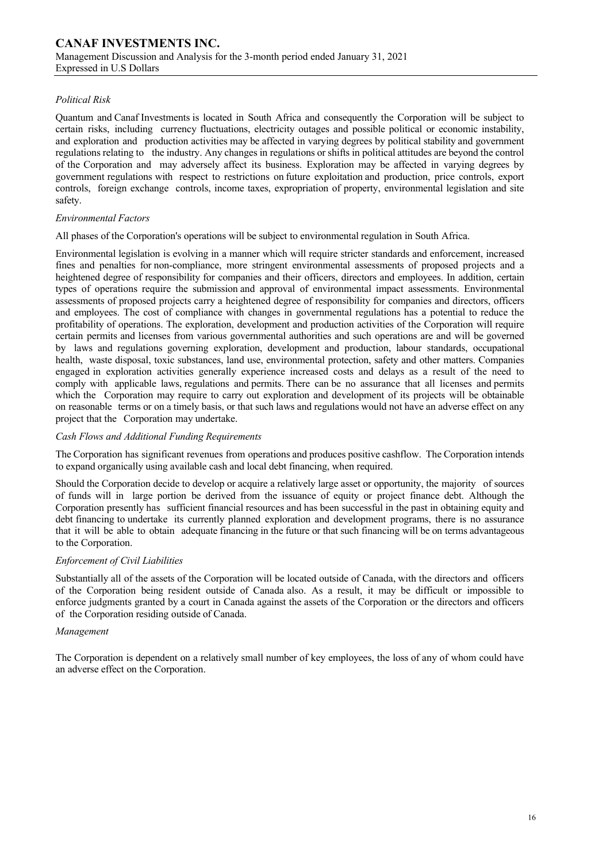## *Political Risk*

Quantum and Canaf Investments is located in South Africa and consequently the Corporation will be subject to certain risks, including currency fluctuations, electricity outages and possible political or economic instability, and exploration and production activities may be affected in varying degrees by political stability and government regulations relating to the industry. Any changes in regulations or shifts in political attitudes are beyond the control of the Corporation and may adversely affect its business. Exploration may be affected in varying degrees by government regulations with respect to restrictions on future exploitation and production, price controls, export controls, foreign exchange controls, income taxes, expropriation of property, environmental legislation and site safety.

### *Environmental Factors*

All phases of the Corporation's operations will be subject to environmental regulation in South Africa.

Environmental legislation is evolving in a manner which will require stricter standards and enforcement, increased fines and penalties for non-compliance, more stringent environmental assessments of proposed projects and a heightened degree of responsibility for companies and their officers, directors and employees. In addition, certain types of operations require the submission and approval of environmental impact assessments. Environmental assessments of proposed projects carry a heightened degree of responsibility for companies and directors, officers and employees. The cost of compliance with changes in governmental regulations has a potential to reduce the profitability of operations. The exploration, development and production activities of the Corporation will require certain permits and licenses from various governmental authorities and such operations are and will be governed by laws and regulations governing exploration, development and production, labour standards, occupational health, waste disposal, toxic substances, land use, environmental protection, safety and other matters. Companies engaged in exploration activities generally experience increased costs and delays as a result of the need to comply with applicable laws, regulations and permits. There can be no assurance that all licenses and permits which the Corporation may require to carry out exploration and development of its projects will be obtainable on reasonable terms or on a timely basis, or that such laws and regulations would not have an adverse effect on any project that the Corporation may undertake.

### *Cash Flows and Additional Funding Requirements*

The Corporation has significant revenues from operations and produces positive cashflow. The Corporation intends to expand organically using available cash and local debt financing, when required.

Should the Corporation decide to develop or acquire a relatively large asset or opportunity, the majority of sources of funds will in large portion be derived from the issuance of equity or project finance debt. Although the Corporation presently has sufficient financial resources and has been successful in the past in obtaining equity and debt financing to undertake its currently planned exploration and development programs, there is no assurance that it will be able to obtain adequate financing in the future or that such financing will be on terms advantageous to the Corporation.

### *Enforcement of Civil Liabilities*

Substantially all of the assets of the Corporation will be located outside of Canada, with the directors and officers of the Corporation being resident outside of Canada also. As a result, it may be difficult or impossible to enforce judgments granted by a court in Canada against the assets of the Corporation or the directors and officers of the Corporation residing outside of Canada.

## *Management*

The Corporation is dependent on a relatively small number of key employees, the loss of any of whom could have an adverse effect on the Corporation.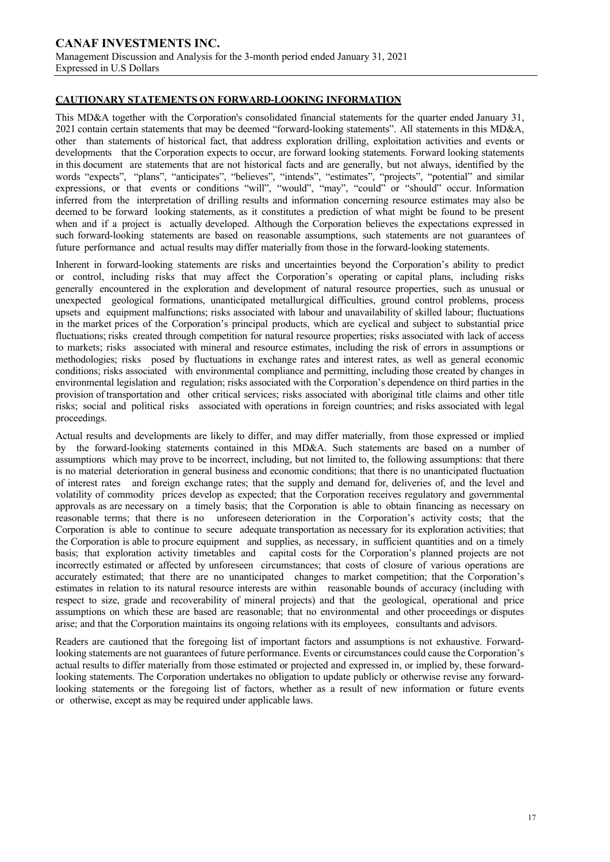## **CAUTIONARY STATEMENTS ON FORWARD-LOOKING INFORMATION**

This MD&A together with the Corporation's consolidated financial statements for the quarter ended January 31, 2021 contain certain statements that may be deemed "forward-looking statements". All statements in this MD&A, other than statements of historical fact, that address exploration drilling, exploitation activities and events or developments that the Corporation expects to occur, are forward looking statements. Forward looking statements in this document are statements that are not historical facts and are generally, but not always, identified by the words "expects", "plans", "anticipates", "believes", "intends", "estimates", "projects", "potential" and similar expressions, or that events or conditions "will", "would", "may", "could" or "should" occur. Information inferred from the interpretation of drilling results and information concerning resource estimates may also be deemed to be forward looking statements, as it constitutes a prediction of what might be found to be present when and if a project is actually developed. Although the Corporation believes the expectations expressed in such forward-looking statements are based on reasonable assumptions, such statements are not guarantees of future performance and actual results may differ materially from those in the forward-looking statements.

Inherent in forward-looking statements are risks and uncertainties beyond the Corporation's ability to predict or control, including risks that may affect the Corporation's operating or capital plans, including risks generally encountered in the exploration and development of natural resource properties, such as unusual or unexpected geological formations, unanticipated metallurgical difficulties, ground control problems, process upsets and equipment malfunctions; risks associated with labour and unavailability of skilled labour; fluctuations in the market prices of the Corporation's principal products, which are cyclical and subject to substantial price fluctuations; risks created through competition for natural resource properties; risks associated with lack of access to markets; risks associated with mineral and resource estimates, including the risk of errors in assumptions or methodologies; risks posed by fluctuations in exchange rates and interest rates, as well as general economic conditions; risks associated with environmental compliance and permitting, including those created by changes in environmental legislation and regulation; risks associated with the Corporation's dependence on third parties in the provision of transportation and other critical services; risks associated with aboriginal title claims and other title risks; social and political risks associated with operations in foreign countries; and risks associated with legal proceedings.

Actual results and developments are likely to differ, and may differ materially, from those expressed or implied by the forward-looking statements contained in this MD&A. Such statements are based on a number of assumptions which may prove to be incorrect, including, but not limited to, the following assumptions: that there is no material deterioration in general business and economic conditions; that there is no unanticipated fluctuation of interest rates and foreign exchange rates; that the supply and demand for, deliveries of, and the level and volatility of commodity prices develop as expected; that the Corporation receives regulatory and governmental approvals as are necessary on a timely basis; that the Corporation is able to obtain financing as necessary on reasonable terms; that there is no unforeseen deterioration in the Corporation's activity costs; that the Corporation is able to continue to secure adequate transportation as necessary for its exploration activities; that the Corporation is able to procure equipment and supplies, as necessary, in sufficient quantities and on a timely basis; that exploration activity timetables and capital costs for the Corporation's planned projects are not incorrectly estimated or affected by unforeseen circumstances; that costs of closure of various operations are accurately estimated; that there are no unanticipated changes to market competition; that the Corporation's estimates in relation to its natural resource interests are within reasonable bounds of accuracy (including with respect to size, grade and recoverability of mineral projects) and that the geological, operational and price assumptions on which these are based are reasonable; that no environmental and other proceedings or disputes arise; and that the Corporation maintains its ongoing relations with its employees, consultants and advisors.

Readers are cautioned that the foregoing list of important factors and assumptions is not exhaustive. Forwardlooking statements are not guarantees of future performance. Events or circumstances could cause the Corporation's actual results to differ materially from those estimated or projected and expressed in, or implied by, these forwardlooking statements. The Corporation undertakes no obligation to update publicly or otherwise revise any forwardlooking statements or the foregoing list of factors, whether as a result of new information or future events or otherwise, except as may be required under applicable laws.